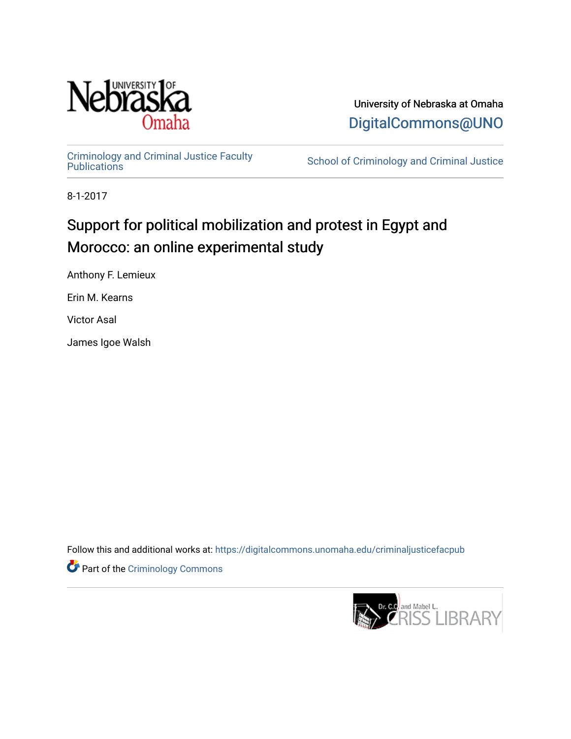

University of Nebraska at Omaha [DigitalCommons@UNO](https://digitalcommons.unomaha.edu/) 

[Criminology and Criminal Justice Faculty](https://digitalcommons.unomaha.edu/criminaljusticefacpub)

School of Criminology and Criminal Justice

8-1-2017

## Support for political mobilization and protest in Egypt and Morocco: an online experimental study

Anthony F. Lemieux

Erin M. Kearns

Victor Asal

James Igoe Walsh

Follow this and additional works at: [https://digitalcommons.unomaha.edu/criminaljusticefacpub](https://digitalcommons.unomaha.edu/criminaljusticefacpub?utm_source=digitalcommons.unomaha.edu%2Fcriminaljusticefacpub%2F122&utm_medium=PDF&utm_campaign=PDFCoverPages) 

**Part of the Criminology Commons** 

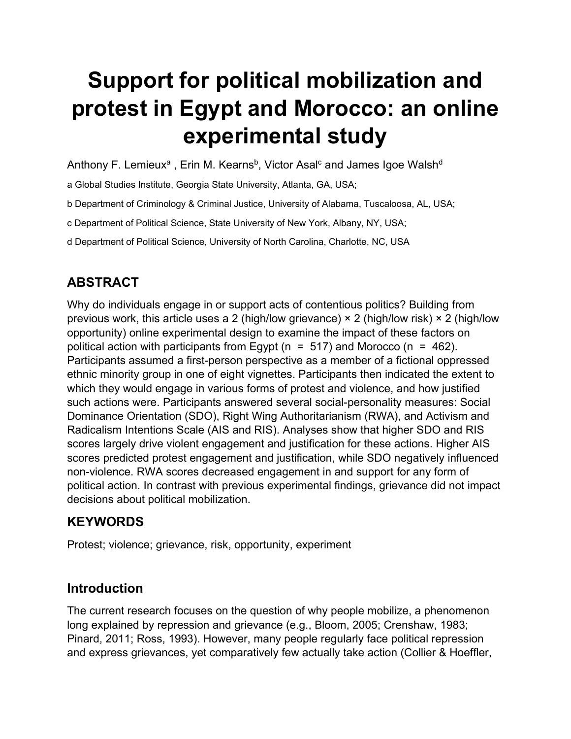# **Support for political mobilization and protest in Egypt and Morocco: an online experimental study**

Anthony F. Lemieux<sup>a</sup>, Erin M. Kearns<sup>b</sup>, Victor Asal<sup>c</sup> and James Igoe Walsh<sup>d</sup>

a Global Studies Institute, Georgia State University, Atlanta, GA, USA;

- b Department of Criminology & Criminal Justice, University of Alabama, Tuscaloosa, AL, USA;
- c Department of Political Science, State University of New York, Albany, NY, USA;
- d Department of Political Science, University of North Carolina, Charlotte, NC, USA

## **ABSTRACT**

Why do individuals engage in or support acts of contentious politics? Building from previous work, this article uses a 2 (high/low grievance) × 2 (high/low risk) × 2 (high/low opportunity) online experimental design to examine the impact of these factors on political action with participants from Egypt ( $n = 517$ ) and Morocco ( $n = 462$ ). Participants assumed a first-person perspective as a member of a fictional oppressed ethnic minority group in one of eight vignettes. Participants then indicated the extent to which they would engage in various forms of protest and violence, and how justified such actions were. Participants answered several social-personality measures: Social Dominance Orientation (SDO), Right Wing Authoritarianism (RWA), and Activism and Radicalism Intentions Scale (AIS and RIS). Analyses show that higher SDO and RIS scores largely drive violent engagement and justification for these actions. Higher AIS scores predicted protest engagement and justification, while SDO negatively influenced non-violence. RWA scores decreased engagement in and support for any form of political action. In contrast with previous experimental findings, grievance did not impact decisions about political mobilization.

## **KEYWORDS**

Protest; violence; grievance, risk, opportunity, experiment

## **Introduction**

The current research focuses on the question of why people mobilize, a phenomenon long explained by repression and grievance (e.g., Bloom, 2005; Crenshaw, 1983; Pinard, 2011; Ross, 1993). However, many people regularly face political repression and express grievances, yet comparatively few actually take action (Collier & Hoeffler,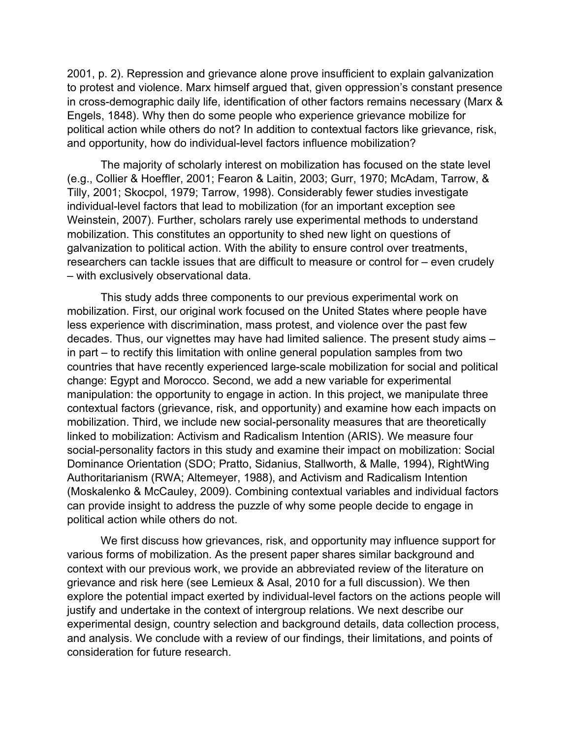2001, p. 2). Repression and grievance alone prove insufficient to explain galvanization to protest and violence. Marx himself argued that, given oppression's constant presence in cross-demographic daily life, identification of other factors remains necessary (Marx & Engels, 1848). Why then do some people who experience grievance mobilize for political action while others do not? In addition to contextual factors like grievance, risk, and opportunity, how do individual-level factors influence mobilization?

The majority of scholarly interest on mobilization has focused on the state level (e.g., Collier & Hoeffler, 2001; Fearon & Laitin, 2003; Gurr, 1970; McAdam, Tarrow, & Tilly, 2001; Skocpol, 1979; Tarrow, 1998). Considerably fewer studies investigate individual-level factors that lead to mobilization (for an important exception see Weinstein, 2007). Further, scholars rarely use experimental methods to understand mobilization. This constitutes an opportunity to shed new light on questions of galvanization to political action. With the ability to ensure control over treatments, researchers can tackle issues that are difficult to measure or control for – even crudely – with exclusively observational data.

This study adds three components to our previous experimental work on mobilization. First, our original work focused on the United States where people have less experience with discrimination, mass protest, and violence over the past few decades. Thus, our vignettes may have had limited salience. The present study aims – in part – to rectify this limitation with online general population samples from two countries that have recently experienced large-scale mobilization for social and political change: Egypt and Morocco. Second, we add a new variable for experimental manipulation: the opportunity to engage in action. In this project, we manipulate three contextual factors (grievance, risk, and opportunity) and examine how each impacts on mobilization. Third, we include new social-personality measures that are theoretically linked to mobilization: Activism and Radicalism Intention (ARIS). We measure four social-personality factors in this study and examine their impact on mobilization: Social Dominance Orientation (SDO; Pratto, Sidanius, Stallworth, & Malle, 1994), RightWing Authoritarianism (RWA; Altemeyer, 1988), and Activism and Radicalism Intention (Moskalenko & McCauley, 2009). Combining contextual variables and individual factors can provide insight to address the puzzle of why some people decide to engage in political action while others do not.

We first discuss how grievances, risk, and opportunity may influence support for various forms of mobilization. As the present paper shares similar background and context with our previous work, we provide an abbreviated review of the literature on grievance and risk here (see Lemieux & Asal, 2010 for a full discussion). We then explore the potential impact exerted by individual-level factors on the actions people will justify and undertake in the context of intergroup relations. We next describe our experimental design, country selection and background details, data collection process, and analysis. We conclude with a review of our findings, their limitations, and points of consideration for future research.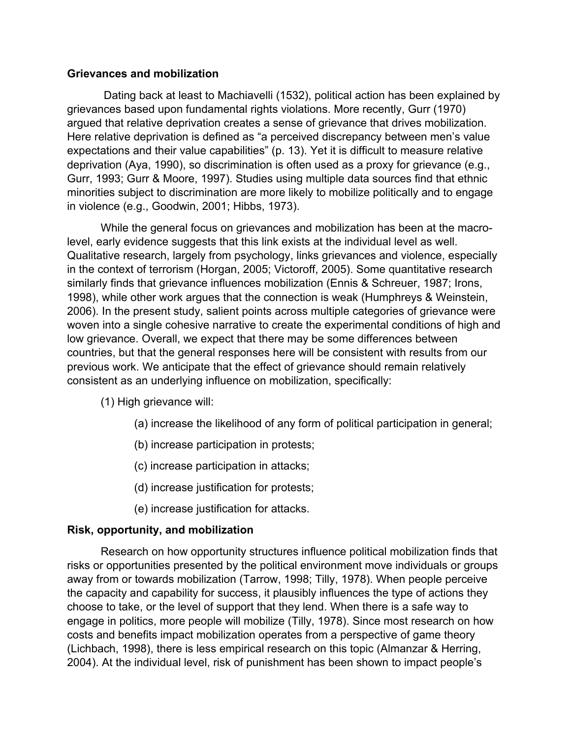#### **Grievances and mobilization**

Dating back at least to Machiavelli (1532), political action has been explained by grievances based upon fundamental rights violations. More recently, Gurr (1970) argued that relative deprivation creates a sense of grievance that drives mobilization. Here relative deprivation is defined as "a perceived discrepancy between men's value expectations and their value capabilities" (p. 13). Yet it is difficult to measure relative deprivation (Aya, 1990), so discrimination is often used as a proxy for grievance (e.g., Gurr, 1993; Gurr & Moore, 1997). Studies using multiple data sources find that ethnic minorities subject to discrimination are more likely to mobilize politically and to engage in violence (e.g., Goodwin, 2001; Hibbs, 1973).

While the general focus on grievances and mobilization has been at the macrolevel, early evidence suggests that this link exists at the individual level as well. Qualitative research, largely from psychology, links grievances and violence, especially in the context of terrorism (Horgan, 2005; Victoroff, 2005). Some quantitative research similarly finds that grievance influences mobilization (Ennis & Schreuer, 1987; Irons, 1998), while other work argues that the connection is weak (Humphreys & Weinstein, 2006). In the present study, salient points across multiple categories of grievance were woven into a single cohesive narrative to create the experimental conditions of high and low grievance. Overall, we expect that there may be some differences between countries, but that the general responses here will be consistent with results from our previous work. We anticipate that the effect of grievance should remain relatively consistent as an underlying influence on mobilization, specifically:

(1) High grievance will:

- (a) increase the likelihood of any form of political participation in general;
- (b) increase participation in protests;
- (c) increase participation in attacks;
- (d) increase justification for protests;
- (e) increase justification for attacks.

#### **Risk, opportunity, and mobilization**

Research on how opportunity structures influence political mobilization finds that risks or opportunities presented by the political environment move individuals or groups away from or towards mobilization (Tarrow, 1998; Tilly, 1978). When people perceive the capacity and capability for success, it plausibly influences the type of actions they choose to take, or the level of support that they lend. When there is a safe way to engage in politics, more people will mobilize (Tilly, 1978). Since most research on how costs and benefits impact mobilization operates from a perspective of game theory (Lichbach, 1998), there is less empirical research on this topic (Almanzar & Herring, 2004). At the individual level, risk of punishment has been shown to impact people's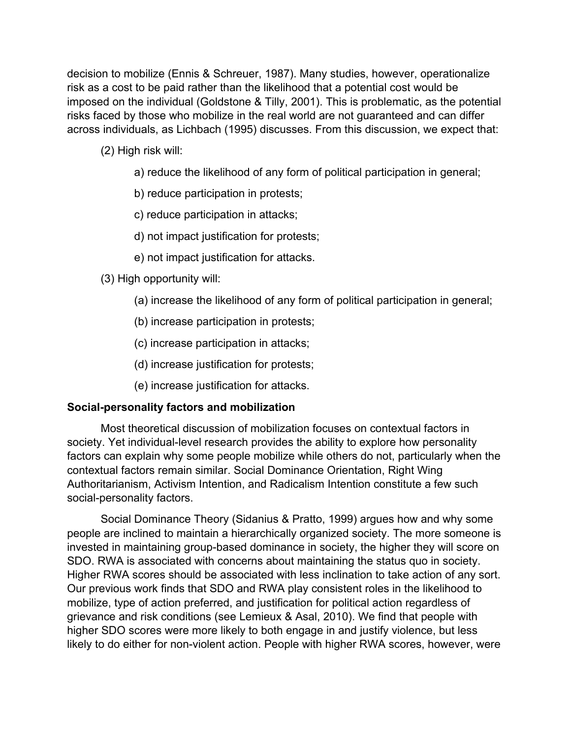decision to mobilize (Ennis & Schreuer, 1987). Many studies, however, operationalize risk as a cost to be paid rather than the likelihood that a potential cost would be imposed on the individual (Goldstone & Tilly, 2001). This is problematic, as the potential risks faced by those who mobilize in the real world are not guaranteed and can differ across individuals, as Lichbach (1995) discusses. From this discussion, we expect that:

(2) High risk will:

- a) reduce the likelihood of any form of political participation in general;
- b) reduce participation in protests;
- c) reduce participation in attacks;
- d) not impact justification for protests;
- e) not impact justification for attacks.
- (3) High opportunity will:
	- (a) increase the likelihood of any form of political participation in general;
	- (b) increase participation in protests;
	- (c) increase participation in attacks;
	- (d) increase justification for protests;
	- (e) increase justification for attacks.

#### **Social-personality factors and mobilization**

Most theoretical discussion of mobilization focuses on contextual factors in society. Yet individual-level research provides the ability to explore how personality factors can explain why some people mobilize while others do not, particularly when the contextual factors remain similar. Social Dominance Orientation, Right Wing Authoritarianism, Activism Intention, and Radicalism Intention constitute a few such social-personality factors.

Social Dominance Theory (Sidanius & Pratto, 1999) argues how and why some people are inclined to maintain a hierarchically organized society. The more someone is invested in maintaining group-based dominance in society, the higher they will score on SDO. RWA is associated with concerns about maintaining the status quo in society. Higher RWA scores should be associated with less inclination to take action of any sort. Our previous work finds that SDO and RWA play consistent roles in the likelihood to mobilize, type of action preferred, and justification for political action regardless of grievance and risk conditions (see Lemieux & Asal, 2010). We find that people with higher SDO scores were more likely to both engage in and justify violence, but less likely to do either for non-violent action. People with higher RWA scores, however, were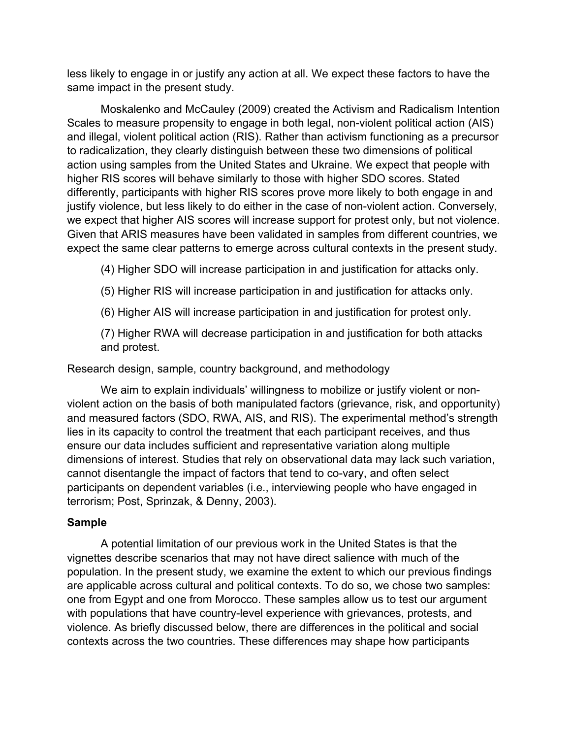less likely to engage in or justify any action at all. We expect these factors to have the same impact in the present study.

Moskalenko and McCauley (2009) created the Activism and Radicalism Intention Scales to measure propensity to engage in both legal, non-violent political action (AIS) and illegal, violent political action (RIS). Rather than activism functioning as a precursor to radicalization, they clearly distinguish between these two dimensions of political action using samples from the United States and Ukraine. We expect that people with higher RIS scores will behave similarly to those with higher SDO scores. Stated differently, participants with higher RIS scores prove more likely to both engage in and justify violence, but less likely to do either in the case of non-violent action. Conversely, we expect that higher AIS scores will increase support for protest only, but not violence. Given that ARIS measures have been validated in samples from different countries, we expect the same clear patterns to emerge across cultural contexts in the present study.

(4) Higher SDO will increase participation in and justification for attacks only.

(5) Higher RIS will increase participation in and justification for attacks only.

(6) Higher AIS will increase participation in and justification for protest only.

(7) Higher RWA will decrease participation in and justification for both attacks and protest.

#### Research design, sample, country background, and methodology

We aim to explain individuals' willingness to mobilize or justify violent or nonviolent action on the basis of both manipulated factors (grievance, risk, and opportunity) and measured factors (SDO, RWA, AIS, and RIS). The experimental method's strength lies in its capacity to control the treatment that each participant receives, and thus ensure our data includes sufficient and representative variation along multiple dimensions of interest. Studies that rely on observational data may lack such variation, cannot disentangle the impact of factors that tend to co-vary, and often select participants on dependent variables (i.e., interviewing people who have engaged in terrorism; Post, Sprinzak, & Denny, 2003).

#### **Sample**

A potential limitation of our previous work in the United States is that the vignettes describe scenarios that may not have direct salience with much of the population. In the present study, we examine the extent to which our previous findings are applicable across cultural and political contexts. To do so, we chose two samples: one from Egypt and one from Morocco. These samples allow us to test our argument with populations that have country-level experience with grievances, protests, and violence. As briefly discussed below, there are differences in the political and social contexts across the two countries. These differences may shape how participants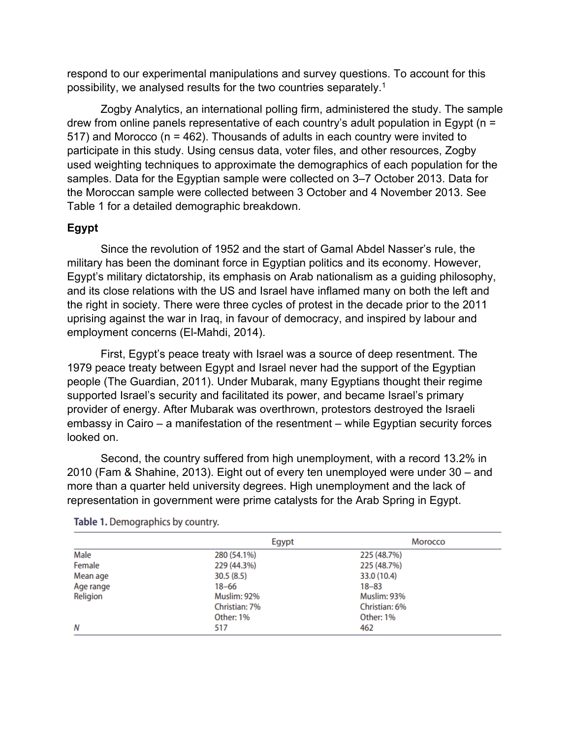respond to our experimental manipulations and survey questions. To account for this possibility, we analysed results for the two countries separately.1

Zogby Analytics, an international polling firm, administered the study. The sample drew from online panels representative of each country's adult population in Egypt (n = 517) and Morocco (n = 462). Thousands of adults in each country were invited to participate in this study. Using census data, voter files, and other resources, Zogby used weighting techniques to approximate the demographics of each population for the samples. Data for the Egyptian sample were collected on 3–7 October 2013. Data for the Moroccan sample were collected between 3 October and 4 November 2013. See Table 1 for a detailed demographic breakdown.

#### **Egypt**

Since the revolution of 1952 and the start of Gamal Abdel Nasser's rule, the military has been the dominant force in Egyptian politics and its economy. However, Egypt's military dictatorship, its emphasis on Arab nationalism as a guiding philosophy, and its close relations with the US and Israel have inflamed many on both the left and the right in society. There were three cycles of protest in the decade prior to the 2011 uprising against the war in Iraq, in favour of democracy, and inspired by labour and employment concerns (El-Mahdi, 2014).

First, Egypt's peace treaty with Israel was a source of deep resentment. The 1979 peace treaty between Egypt and Israel never had the support of the Egyptian people (The Guardian, 2011). Under Mubarak, many Egyptians thought their regime supported Israel's security and facilitated its power, and became Israel's primary provider of energy. After Mubarak was overthrown, protestors destroyed the Israeli embassy in Cairo – a manifestation of the resentment – while Egyptian security forces looked on.

Second, the country suffered from high unemployment, with a record 13.2% in 2010 (Fam & Shahine, 2013). Eight out of every ten unemployed were under 30 – and more than a quarter held university degrees. High unemployment and the lack of representation in government were prime catalysts for the Arab Spring in Egypt.

|           | Egypt              | <b>Morocco</b> |
|-----------|--------------------|----------------|
| Male      | 280 (54.1%)        | 225 (48.7%)    |
| Female    | 229 (44.3%)        | 225 (48.7%)    |
| Mean age  | 30.5(8.5)          | 33.0 (10.4)    |
| Age range | $18 - 66$          | $18 - 83$      |
| Religion  | <b>Muslim: 92%</b> | Muslim: 93%    |
|           | Christian: 7%      | Christian: 6%  |
|           | Other: 1%          | Other: 1%      |
| N         | 517                | 462            |

Table 1. Demographics by country.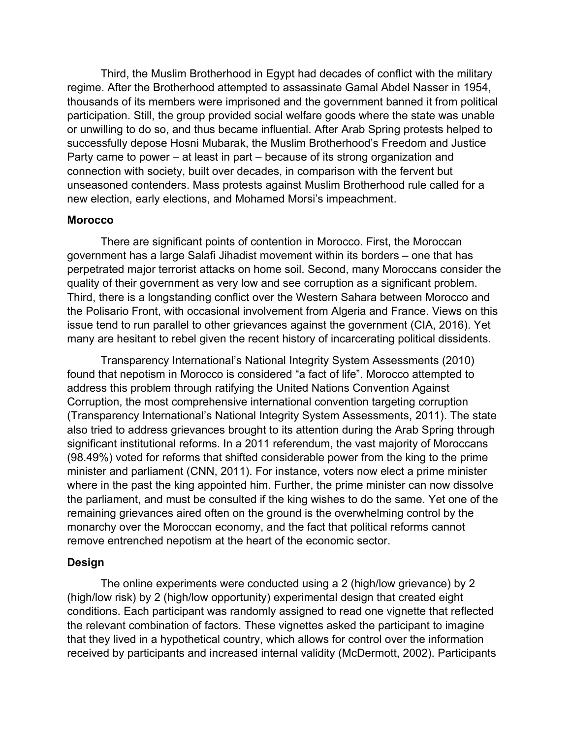Third, the Muslim Brotherhood in Egypt had decades of conflict with the military regime. After the Brotherhood attempted to assassinate Gamal Abdel Nasser in 1954, thousands of its members were imprisoned and the government banned it from political participation. Still, the group provided social welfare goods where the state was unable or unwilling to do so, and thus became influential. After Arab Spring protests helped to successfully depose Hosni Mubarak, the Muslim Brotherhood's Freedom and Justice Party came to power – at least in part – because of its strong organization and connection with society, built over decades, in comparison with the fervent but unseasoned contenders. Mass protests against Muslim Brotherhood rule called for a new election, early elections, and Mohamed Morsi's impeachment.

#### **Morocco**

There are significant points of contention in Morocco. First, the Moroccan government has a large Salafi Jihadist movement within its borders – one that has perpetrated major terrorist attacks on home soil. Second, many Moroccans consider the quality of their government as very low and see corruption as a significant problem. Third, there is a longstanding conflict over the Western Sahara between Morocco and the Polisario Front, with occasional involvement from Algeria and France. Views on this issue tend to run parallel to other grievances against the government (CIA, 2016). Yet many are hesitant to rebel given the recent history of incarcerating political dissidents.

Transparency International's National Integrity System Assessments (2010) found that nepotism in Morocco is considered "a fact of life". Morocco attempted to address this problem through ratifying the United Nations Convention Against Corruption, the most comprehensive international convention targeting corruption (Transparency International's National Integrity System Assessments, 2011). The state also tried to address grievances brought to its attention during the Arab Spring through significant institutional reforms. In a 2011 referendum, the vast majority of Moroccans (98.49%) voted for reforms that shifted considerable power from the king to the prime minister and parliament (CNN, 2011). For instance, voters now elect a prime minister where in the past the king appointed him. Further, the prime minister can now dissolve the parliament, and must be consulted if the king wishes to do the same. Yet one of the remaining grievances aired often on the ground is the overwhelming control by the monarchy over the Moroccan economy, and the fact that political reforms cannot remove entrenched nepotism at the heart of the economic sector.

#### **Design**

The online experiments were conducted using a 2 (high/low grievance) by 2 (high/low risk) by 2 (high/low opportunity) experimental design that created eight conditions. Each participant was randomly assigned to read one vignette that reflected the relevant combination of factors. These vignettes asked the participant to imagine that they lived in a hypothetical country, which allows for control over the information received by participants and increased internal validity (McDermott, 2002). Participants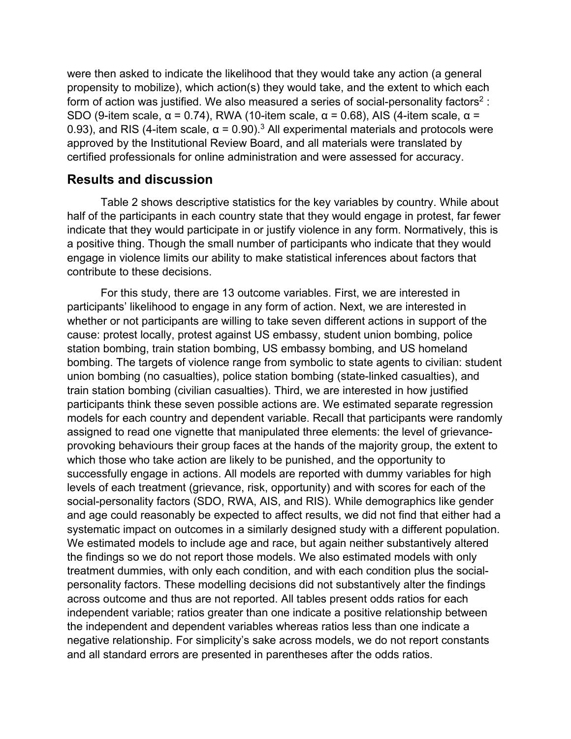were then asked to indicate the likelihood that they would take any action (a general propensity to mobilize), which action(s) they would take, and the extent to which each form of action was justified. We also measured a series of social-personality factors<sup>2</sup>: SDO (9-item scale,  $\alpha$  = 0.74), RWA (10-item scale,  $\alpha$  = 0.68), AIS (4-item scale,  $\alpha$  = 0.93), and RIS (4-item scale,  $\alpha$  = 0.90).<sup>3</sup> All experimental materials and protocols were approved by the Institutional Review Board, and all materials were translated by certified professionals for online administration and were assessed for accuracy.

#### **Results and discussion**

Table 2 shows descriptive statistics for the key variables by country. While about half of the participants in each country state that they would engage in protest, far fewer indicate that they would participate in or justify violence in any form. Normatively, this is a positive thing. Though the small number of participants who indicate that they would engage in violence limits our ability to make statistical inferences about factors that contribute to these decisions.

For this study, there are 13 outcome variables. First, we are interested in participants' likelihood to engage in any form of action. Next, we are interested in whether or not participants are willing to take seven different actions in support of the cause: protest locally, protest against US embassy, student union bombing, police station bombing, train station bombing, US embassy bombing, and US homeland bombing. The targets of violence range from symbolic to state agents to civilian: student union bombing (no casualties), police station bombing (state-linked casualties), and train station bombing (civilian casualties). Third, we are interested in how justified participants think these seven possible actions are. We estimated separate regression models for each country and dependent variable. Recall that participants were randomly assigned to read one vignette that manipulated three elements: the level of grievanceprovoking behaviours their group faces at the hands of the majority group, the extent to which those who take action are likely to be punished, and the opportunity to successfully engage in actions. All models are reported with dummy variables for high levels of each treatment (grievance, risk, opportunity) and with scores for each of the social-personality factors (SDO, RWA, AIS, and RIS). While demographics like gender and age could reasonably be expected to affect results, we did not find that either had a systematic impact on outcomes in a similarly designed study with a different population. We estimated models to include age and race, but again neither substantively altered the findings so we do not report those models. We also estimated models with only treatment dummies, with only each condition, and with each condition plus the socialpersonality factors. These modelling decisions did not substantively alter the findings across outcome and thus are not reported. All tables present odds ratios for each independent variable; ratios greater than one indicate a positive relationship between the independent and dependent variables whereas ratios less than one indicate a negative relationship. For simplicity's sake across models, we do not report constants and all standard errors are presented in parentheses after the odds ratios.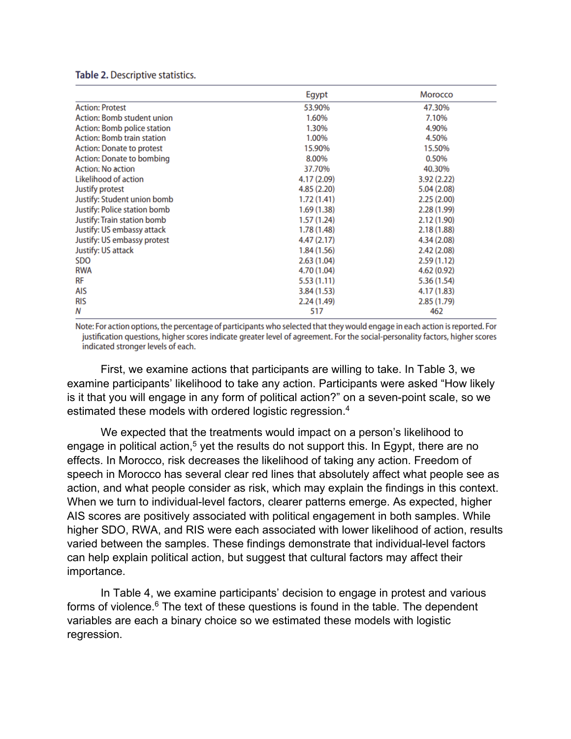|                                   | Egypt       | <b>Morocco</b> |
|-----------------------------------|-------------|----------------|
| <b>Action: Protest</b>            | 53.90%      | 47.30%         |
| <b>Action: Bomb student union</b> | 1.60%       | 7.10%          |
| Action: Bomb police station       | 1.30%       | 4.90%          |
| <b>Action: Bomb train station</b> | 1.00%       | 4.50%          |
| Action: Donate to protest         | 15.90%      | 15.50%         |
| Action: Donate to bombing         | 8.00%       | 0.50%          |
| <b>Action: No action</b>          | 37.70%      | 40.30%         |
| Likelihood of action              | 4.17 (2.09) | 3.92(2.22)     |
| Justify protest                   | 4.85(2.20)  | 5.04(2.08)     |
| Justify: Student union bomb       | 1.72(1.41)  | 2.25(2.00)     |
| Justify: Police station bomb      | 1.69(1.38)  | 2.28(1.99)     |
| Justify: Train station bomb       | 1.57(1.24)  | 2.12(1.90)     |
| Justify: US embassy attack        | 1.78(1.48)  | 2.18(1.88)     |
| Justify: US embassy protest       | 4.47(2.17)  | 4.34(2.08)     |
| Justify: US attack                | 1.84(1.56)  | 2.42(2.08)     |
| <b>SDO</b>                        | 2.63(1.04)  | 2.59(1.12)     |
| <b>RWA</b>                        | 4.70 (1.04) | 4.62(0.92)     |
| <b>RF</b>                         | 5.53(1.11)  | 5.36 (1.54)    |
| AIS                               | 3.84(1.53)  | 4.17(1.83)     |
| <b>RIS</b>                        | 2.24(1.49)  | 2.85(1.79)     |
| N                                 | 517         | 462            |

Note: For action options, the percentage of participants who selected that they would engage in each action is reported. For justification questions, higher scores indicate greater level of agreement. For the social-personality factors, higher scores indicated stronger levels of each.

First, we examine actions that participants are willing to take. In Table 3, we examine participants' likelihood to take any action. Participants were asked "How likely is it that you will engage in any form of political action?" on a seven-point scale, so we estimated these models with ordered logistic regression.4

We expected that the treatments would impact on a person's likelihood to engage in political action,<sup>5</sup> yet the results do not support this. In Egypt, there are no effects. In Morocco, risk decreases the likelihood of taking any action. Freedom of speech in Morocco has several clear red lines that absolutely affect what people see as action, and what people consider as risk, which may explain the findings in this context. When we turn to individual-level factors, clearer patterns emerge. As expected, higher AIS scores are positively associated with political engagement in both samples. While higher SDO, RWA, and RIS were each associated with lower likelihood of action, results varied between the samples. These findings demonstrate that individual-level factors can help explain political action, but suggest that cultural factors may affect their importance.

In Table 4, we examine participants' decision to engage in protest and various forms of violence. $6$  The text of these questions is found in the table. The dependent variables are each a binary choice so we estimated these models with logistic regression.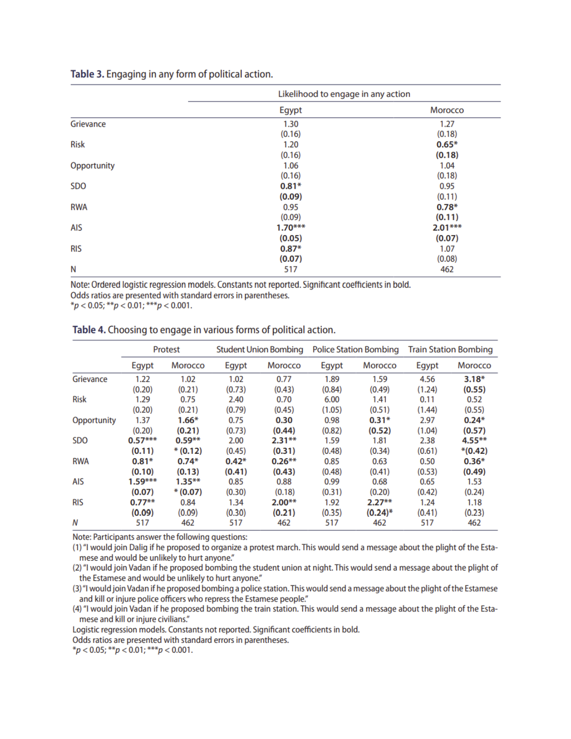|             | Likelihood to engage in any action |           |  |  |
|-------------|------------------------------------|-----------|--|--|
|             | Egypt                              | Morocco   |  |  |
| Grievance   | 1.30                               | 1.27      |  |  |
|             | (0.16)                             | (0.18)    |  |  |
| <b>Risk</b> | 1.20                               | $0.65*$   |  |  |
|             | (0.16)                             | (0.18)    |  |  |
| Opportunity | 1.06                               | 1.04      |  |  |
|             | (0.16)                             | (0.18)    |  |  |
| <b>SDO</b>  | $0.81*$                            | 0.95      |  |  |
|             | (0.09)                             | (0.11)    |  |  |
| <b>RWA</b>  | 0.95                               | $0.78*$   |  |  |
|             | (0.09)                             | (0.11)    |  |  |
| <b>AIS</b>  | $1.70***$                          | $2.01***$ |  |  |
|             | (0.05)                             | (0.07)    |  |  |
| <b>RIS</b>  | $0.87*$                            | 1.07      |  |  |
|             | (0.07)                             | (0.08)    |  |  |
| N           | 517                                | 462       |  |  |

#### Table 3. Engaging in any form of political action.

Note: Ordered logistic regression models. Constants not reported. Significant coefficients in bold.

Odds ratios are presented with standard errors in parentheses.

\*p < 0.05; \*\*p < 0.01; \*\*\*p < 0.001.

#### Table 4. Choosing to engage in various forms of political action.

|                    | Protest   |           | <b>Student Union Bombing</b> |                | <b>Police Station Bombing</b> |            | <b>Train Station Bombing</b> |                |
|--------------------|-----------|-----------|------------------------------|----------------|-------------------------------|------------|------------------------------|----------------|
|                    | Egypt     | Morocco   | Egypt                        | <b>Morocco</b> | Egypt                         | Morocco    | Egypt                        | <b>Morocco</b> |
| Grievance          | 1.22      | 1.02      | 1.02                         | 0.77           | 1.89                          | 1.59       | 4.56                         | $3.18*$        |
|                    | (0.20)    | (0.21)    | (0.73)                       | (0.43)         | (0.84)                        | (0.49)     | (1.24)                       | (0.55)         |
| <b>Risk</b>        | 1.29      | 0.75      | 2.40                         | 0.70           | 6.00                          | 1.41       | 0.11                         | 0.52           |
|                    | (0.20)    | (0.21)    | (0.79)                       | (0.45)         | (1.05)                        | (0.51)     | (1.44)                       | (0.55)         |
| <b>Opportunity</b> | 1.37      | $1.66*$   | 0.75                         | 0.30           | 0.98                          | $0.31*$    | 2.97                         | $0.24*$        |
|                    | (0.20)    | (0.21)    | (0.73)                       | (0.44)         | (0.82)                        | (0.52)     | (1.04)                       | (0.57)         |
| <b>SDO</b>         | $0.57***$ | $0.59**$  | 2.00                         | $2.31**$       | 1.59                          | 1.81       | 2.38                         | $4.55***$      |
|                    | (0.11)    | $*(0.12)$ | (0.45)                       | (0.31)         | (0.48)                        | (0.34)     | (0.61)                       | $*(0.42)$      |
| <b>RWA</b>         | $0.81*$   | $0.74*$   | $0.42*$                      | $0.26***$      | 0.85                          | 0.63       | 0.50                         | $0.36*$        |
|                    | (0.10)    | (0.13)    | (0.41)                       | (0.43)         | (0.48)                        | (0.41)     | (0.53)                       | (0.49)         |
| AIS                | $1.59***$ | $1.35***$ | 0.85                         | 0.88           | 0.99                          | 0.68       | 0.65                         | 1.53           |
|                    | (0.07)    | $*(0.07)$ | (0.30)                       | (0.18)         | (0.31)                        | (0.20)     | (0.42)                       | (0.24)         |
| <b>RIS</b>         | $0.77**$  | 0.84      | 1.34                         | $2.00**$       | 1.92                          | $2.27**$   | 1.24                         | 1.18           |
|                    | (0.09)    | (0.09)    | (0.30)                       | (0.21)         | (0.35)                        | $(0.24)^*$ | (0.41)                       | (0.23)         |
| N                  | 517       | 462       | 517                          | 462            | 517                           | 462        | 517                          | 462            |

Note: Participants answer the following questions:

(1) "I would join Dalig if he proposed to organize a protest march. This would send a message about the plight of the Estamese and would be unlikely to hurt anyone."

(2) "I would join Vadan if he proposed bombing the student union at night. This would send a message about the plight of the Estamese and would be unlikely to hurt anyone."

(3) "I would join Vadan if he proposed bombing a police station. This would send a message about the plight of the Estamese and kill or injure police officers who repress the Estamese people."

(4) "I would join Vadan if he proposed bombing the train station. This would send a message about the plight of the Estamese and kill or injure civilians."

Logistic regression models. Constants not reported. Significant coefficients in bold.

Odds ratios are presented with standard errors in parentheses.

\* $p < 0.05$ ; \*\* $p < 0.01$ ; \*\*\* $p < 0.001$ .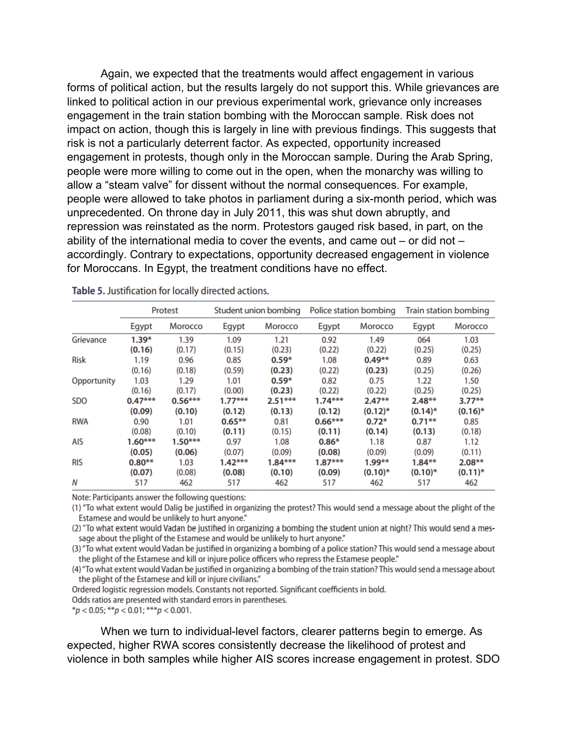Again, we expected that the treatments would affect engagement in various forms of political action, but the results largely do not support this. While grievances are linked to political action in our previous experimental work, grievance only increases engagement in the train station bombing with the Moroccan sample. Risk does not impact on action, though this is largely in line with previous findings. This suggests that risk is not a particularly deterrent factor. As expected, opportunity increased engagement in protests, though only in the Moroccan sample. During the Arab Spring, people were more willing to come out in the open, when the monarchy was willing to allow a "steam valve" for dissent without the normal consequences. For example, people were allowed to take photos in parliament during a six-month period, which was unprecedented. On throne day in July 2011, this was shut down abruptly, and repression was reinstated as the norm. Protestors gauged risk based, in part, on the ability of the international media to cover the events, and came out  $-$  or did not  $$ accordingly. Contrary to expectations, opportunity decreased engagement in violence for Moroccans. In Egypt, the treatment conditions have no effect.

|             | Protest   |           | Student union bombing |                | Police station bombing |            | Train station bombing |                |
|-------------|-----------|-----------|-----------------------|----------------|------------------------|------------|-----------------------|----------------|
|             | Egypt     | Morocco   | Egypt                 | <b>Morocco</b> | Egypt                  | Morocco    | Egypt                 | <b>Morocco</b> |
| Grievance   | $1.39*$   | 1.39      | 1.09                  | 1.21           | 0.92                   | 1.49       | 064                   | 1.03           |
|             | (0.16)    | (0.17)    | (0.15)                | (0.23)         | (0.22)                 | (0.22)     | (0.25)                | (0.25)         |
| <b>Risk</b> | 1.19      | 0.96      | 0.85                  | $0.59*$        | 1.08                   | $0.49**$   | 0.89                  | 0.63           |
|             | (0.16)    | (0.18)    | (0.59)                | (0.23)         | (0.22)                 | (0.23)     | (0.25)                | (0.26)         |
| Opportunity | 1.03      | 1.29      | 1.01                  | $0.59*$        | 0.82                   | 0.75       | 1.22                  | 1.50           |
|             | (0.16)    | (0.17)    | (0.00)                | (0.23)         | (0.22)                 | (0.22)     | (0.25)                | (0.25)         |
| <b>SDO</b>  | $0.47***$ | $0.56***$ | $1.77***$             | $2.51***$      | $1.74***$              | $2.47**$   | $2.48**$              | $3.77**$       |
|             | (0.09)    | (0.10)    | (0.12)                | (0.13)         | (0.12)                 | $(0.12)^*$ | $(0.14)^*$            | $(0.16)^*$     |
| <b>RWA</b>  | 0.90      | 1.01      | $0.65***$             | 0.81           | $0.66***$              | $0.72*$    | $0.71***$             | 0.85           |
|             | (0.08)    | (0.10)    | (0.11)                | (0.15)         | (0.11)                 | (0.14)     | (0.13)                | (0.18)         |
| AIS         | $1.60***$ | $1.50***$ | 0.97                  | 1.08           | $0.86*$                | 1.18       | 0.87                  | 1.12           |
|             | (0.05)    | (0.06)    | (0.07)                | (0.09)         | (0.08)                 | (0.09)     | (0.09)                | (0.11)         |
| <b>RIS</b>  | $0.80**$  | 1.03      | $1.42***$             | $1.84***$      | $1.87***$              | $1.99**$   | $1.84***$             | $2.08**$       |
|             | (0.07)    | (0.08)    | (0.08)                | (0.10)         | (0.09)                 | $(0.10)^*$ | $(0.10)*$             | $(0.11)^*$     |
| N           | 517       | 462       | 517                   | 462            | 517                    | 462        | 517                   | 462            |

Table 5. Justification for locally directed actions.

Note: Participants answer the following questions:

(1) "To what extent would Dalig be justified in organizing the protest? This would send a message about the plight of the Estamese and would be unlikely to hurt anyone."

(2) "To what extent would Vadan be justified in organizing a bombing the student union at night? This would send a message about the plight of the Estamese and would be unlikely to hurt anyone."

(3) "To what extent would Vadan be justified in organizing a bombing of a police station? This would send a message about the plight of the Estamese and kill or injure police officers who repress the Estamese people."

(4) "To what extent would Vadan be justified in organizing a bombing of the train station? This would send a message about the plight of the Estamese and kill or injure civilians."

Ordered logistic regression models. Constants not reported. Significant coefficients in bold.

Odds ratios are presented with standard errors in parentheses.

\* $p < 0.05$ ; \*\* $p < 0.01$ ; \*\*\* $p < 0.001$ .

When we turn to individual-level factors, clearer patterns begin to emerge. As expected, higher RWA scores consistently decrease the likelihood of protest and violence in both samples while higher AIS scores increase engagement in protest. SDO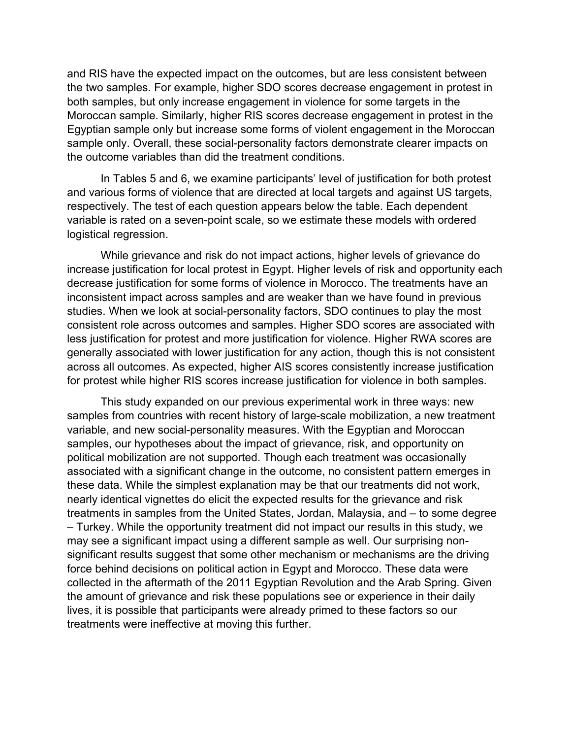and RIS have the expected impact on the outcomes, but are less consistent between the two samples. For example, higher SDO scores decrease engagement in protest in both samples, but only increase engagement in violence for some targets in the Moroccan sample. Similarly, higher RIS scores decrease engagement in protest in the Egyptian sample only but increase some forms of violent engagement in the Moroccan sample only. Overall, these social-personality factors demonstrate clearer impacts on the outcome variables than did the treatment conditions.

In Tables 5 and 6, we examine participants' level of justification for both protest and various forms of violence that are directed at local targets and against US targets, respectively. The test of each question appears below the table. Each dependent variable is rated on a seven-point scale, so we estimate these models with ordered logistical regression.

While grievance and risk do not impact actions, higher levels of grievance do increase justification for local protest in Egypt. Higher levels of risk and opportunity each decrease justification for some forms of violence in Morocco. The treatments have an inconsistent impact across samples and are weaker than we have found in previous studies. When we look at social-personality factors, SDO continues to play the most consistent role across outcomes and samples. Higher SDO scores are associated with less justification for protest and more justification for violence. Higher RWA scores are generally associated with lower justification for any action, though this is not consistent across all outcomes. As expected, higher AIS scores consistently increase justification for protest while higher RIS scores increase justification for violence in both samples.

This study expanded on our previous experimental work in three ways: new samples from countries with recent history of large-scale mobilization, a new treatment variable, and new social-personality measures. With the Egyptian and Moroccan samples, our hypotheses about the impact of grievance, risk, and opportunity on political mobilization are not supported. Though each treatment was occasionally associated with a significant change in the outcome, no consistent pattern emerges in these data. While the simplest explanation may be that our treatments did not work, nearly identical vignettes do elicit the expected results for the grievance and risk treatments in samples from the United States, Jordan, Malaysia, and – to some degree – Turkey. While the opportunity treatment did not impact our results in this study, we may see a significant impact using a different sample as well. Our surprising nonsignificant results suggest that some other mechanism or mechanisms are the driving force behind decisions on political action in Egypt and Morocco. These data were collected in the aftermath of the 2011 Egyptian Revolution and the Arab Spring. Given the amount of grievance and risk these populations see or experience in their daily lives, it is possible that participants were already primed to these factors so our treatments were ineffective at moving this further.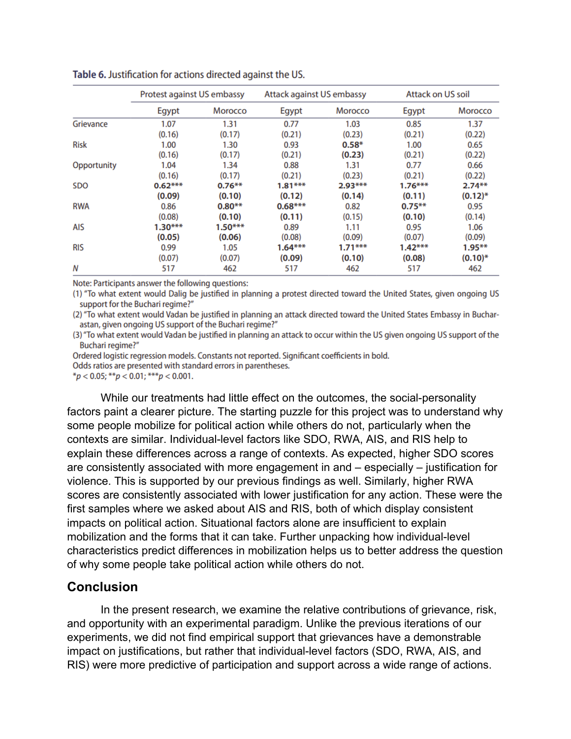|                    | Protest against US embassy |                | Attack against US embassy |                | <b>Attack on US soil</b> |                |
|--------------------|----------------------------|----------------|---------------------------|----------------|--------------------------|----------------|
|                    | Egypt                      | <b>Morocco</b> | Egypt                     | <b>Morocco</b> | Egypt                    | <b>Morocco</b> |
| Grievance          | 1.07                       | 1.31           | 0.77                      | 1.03           | 0.85                     | 1.37           |
|                    | (0.16)                     | (0.17)         | (0.21)                    | (0.23)         | (0.21)                   | (0.22)         |
| <b>Risk</b>        | 1.00                       | 1.30           | 0.93                      | $0.58*$        | 1.00                     | 0.65           |
|                    | (0.16)                     | (0.17)         | (0.21)                    | (0.23)         | (0.21)                   | (0.22)         |
| <b>Opportunity</b> | 1.04                       | 1.34           | 0.88                      | 1.31           | 0.77                     | 0.66           |
|                    | (0.16)                     | (0.17)         | (0.21)                    | (0.23)         | (0.21)                   | (0.22)         |
| <b>SDO</b>         | $0.62***$                  | $0.76***$      | $1.81***$                 | $2.93***$      | $1.76***$                | $2.74**$       |
|                    | (0.09)                     | (0.10)         | (0.12)                    | (0.14)         | (0.11)                   | $(0.12)^*$     |
| <b>RWA</b>         | 0.86                       | $0.80**$       | $0.68***$                 | 0.82           | $0.75***$                | 0.95           |
|                    | (0.08)                     | (0.10)         | (0.11)                    | (0.15)         | (0.10)                   | (0.14)         |
| <b>AIS</b>         | $1.30***$                  | $1.50***$      | 0.89                      | 1.11           | 0.95                     | 1.06           |
|                    | (0.05)                     | (0.06)         | (0.08)                    | (0.09)         | (0.07)                   | (0.09)         |
| <b>RIS</b>         | 0.99                       | 1.05           | $1.64***$                 | $1.71***$      | $1.42***$                | $1.95***$      |
|                    | (0.07)                     | (0.07)         | (0.09)                    | (0.10)         | (0.08)                   | $(0.10)*$      |
| N                  | 517                        | 462            | 517                       | 462            | 517                      | 462            |

Table 6. Justification for actions directed against the US.

Note: Participants answer the following questions:

(1) "To what extent would Dalig be justified in planning a protest directed toward the United States, given ongoing US support for the Buchari regime?"

(2) "To what extent would Vadan be justified in planning an attack directed toward the United States Embassy in Bucharastan, given ongoing US support of the Buchari regime?"

(3) "To what extent would Vadan be justified in planning an attack to occur within the US given ongoing US support of the **Buchari regime?"** 

Ordered logistic regression models. Constants not reported. Significant coefficients in bold.

Odds ratios are presented with standard errors in parentheses.

\* $p < 0.05$ ; \*\* $p < 0.01$ ; \*\*\* $p < 0.001$ .

While our treatments had little effect on the outcomes, the social-personality factors paint a clearer picture. The starting puzzle for this project was to understand why some people mobilize for political action while others do not, particularly when the contexts are similar. Individual-level factors like SDO, RWA, AIS, and RIS help to explain these differences across a range of contexts. As expected, higher SDO scores are consistently associated with more engagement in and – especially – justification for violence. This is supported by our previous findings as well. Similarly, higher RWA scores are consistently associated with lower justification for any action. These were the first samples where we asked about AIS and RIS, both of which display consistent impacts on political action. Situational factors alone are insufficient to explain mobilization and the forms that it can take. Further unpacking how individual-level characteristics predict differences in mobilization helps us to better address the question of why some people take political action while others do not.

#### **Conclusion**

In the present research, we examine the relative contributions of grievance, risk, and opportunity with an experimental paradigm. Unlike the previous iterations of our experiments, we did not find empirical support that grievances have a demonstrable impact on justifications, but rather that individual-level factors (SDO, RWA, AIS, and RIS) were more predictive of participation and support across a wide range of actions.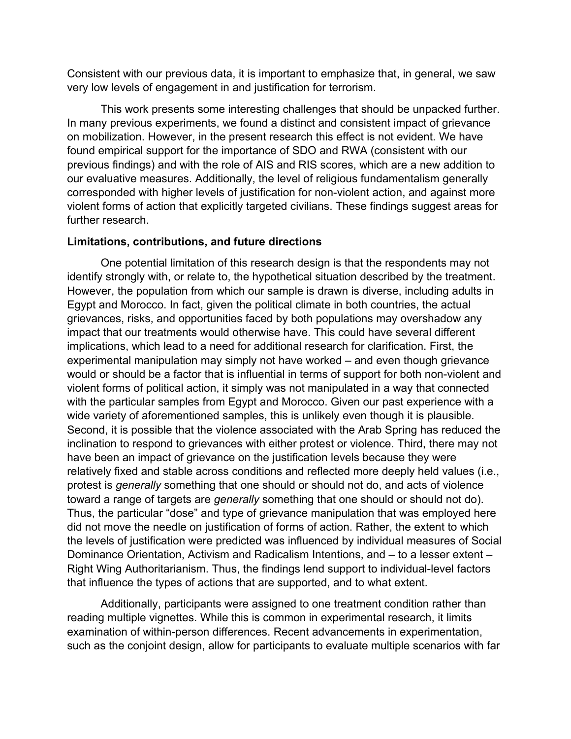Consistent with our previous data, it is important to emphasize that, in general, we saw very low levels of engagement in and justification for terrorism.

This work presents some interesting challenges that should be unpacked further. In many previous experiments, we found a distinct and consistent impact of grievance on mobilization. However, in the present research this effect is not evident. We have found empirical support for the importance of SDO and RWA (consistent with our previous findings) and with the role of AIS and RIS scores, which are a new addition to our evaluative measures. Additionally, the level of religious fundamentalism generally corresponded with higher levels of justification for non-violent action, and against more violent forms of action that explicitly targeted civilians. These findings suggest areas for further research.

#### **Limitations, contributions, and future directions**

One potential limitation of this research design is that the respondents may not identify strongly with, or relate to, the hypothetical situation described by the treatment. However, the population from which our sample is drawn is diverse, including adults in Egypt and Morocco. In fact, given the political climate in both countries, the actual grievances, risks, and opportunities faced by both populations may overshadow any impact that our treatments would otherwise have. This could have several different implications, which lead to a need for additional research for clarification. First, the experimental manipulation may simply not have worked – and even though grievance would or should be a factor that is influential in terms of support for both non-violent and violent forms of political action, it simply was not manipulated in a way that connected with the particular samples from Egypt and Morocco. Given our past experience with a wide variety of aforementioned samples, this is unlikely even though it is plausible. Second, it is possible that the violence associated with the Arab Spring has reduced the inclination to respond to grievances with either protest or violence. Third, there may not have been an impact of grievance on the justification levels because they were relatively fixed and stable across conditions and reflected more deeply held values (i.e., protest is *generally* something that one should or should not do, and acts of violence toward a range of targets are *generally* something that one should or should not do). Thus, the particular "dose" and type of grievance manipulation that was employed here did not move the needle on justification of forms of action. Rather, the extent to which the levels of justification were predicted was influenced by individual measures of Social Dominance Orientation, Activism and Radicalism Intentions, and – to a lesser extent – Right Wing Authoritarianism. Thus, the findings lend support to individual-level factors that influence the types of actions that are supported, and to what extent.

Additionally, participants were assigned to one treatment condition rather than reading multiple vignettes. While this is common in experimental research, it limits examination of within-person differences. Recent advancements in experimentation, such as the conjoint design, allow for participants to evaluate multiple scenarios with far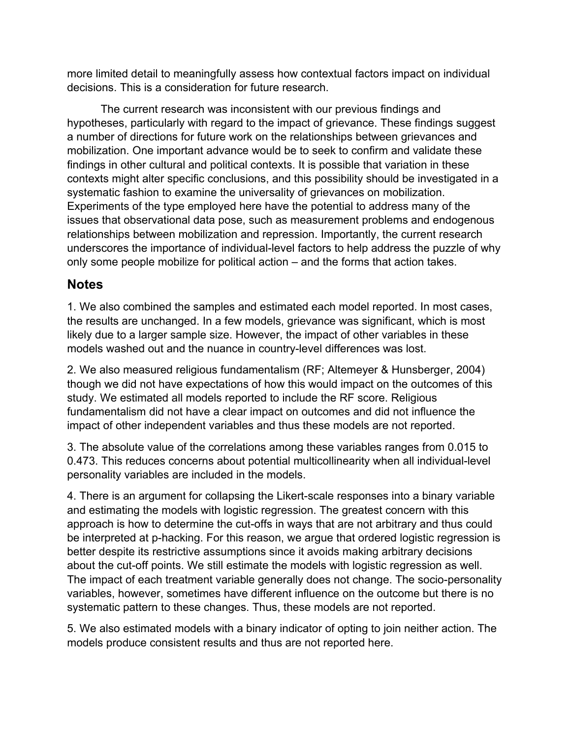more limited detail to meaningfully assess how contextual factors impact on individual decisions. This is a consideration for future research.

The current research was inconsistent with our previous findings and hypotheses, particularly with regard to the impact of grievance. These findings suggest a number of directions for future work on the relationships between grievances and mobilization. One important advance would be to seek to confirm and validate these findings in other cultural and political contexts. It is possible that variation in these contexts might alter specific conclusions, and this possibility should be investigated in a systematic fashion to examine the universality of grievances on mobilization. Experiments of the type employed here have the potential to address many of the issues that observational data pose, such as measurement problems and endogenous relationships between mobilization and repression. Importantly, the current research underscores the importance of individual-level factors to help address the puzzle of why only some people mobilize for political action – and the forms that action takes.

## **Notes**

1. We also combined the samples and estimated each model reported. In most cases, the results are unchanged. In a few models, grievance was significant, which is most likely due to a larger sample size. However, the impact of other variables in these models washed out and the nuance in country-level differences was lost.

2. We also measured religious fundamentalism (RF; Altemeyer & Hunsberger, 2004) though we did not have expectations of how this would impact on the outcomes of this study. We estimated all models reported to include the RF score. Religious fundamentalism did not have a clear impact on outcomes and did not influence the impact of other independent variables and thus these models are not reported.

3. The absolute value of the correlations among these variables ranges from 0.015 to 0.473. This reduces concerns about potential multicollinearity when all individual-level personality variables are included in the models.

4. There is an argument for collapsing the Likert-scale responses into a binary variable and estimating the models with logistic regression. The greatest concern with this approach is how to determine the cut-offs in ways that are not arbitrary and thus could be interpreted at p-hacking. For this reason, we argue that ordered logistic regression is better despite its restrictive assumptions since it avoids making arbitrary decisions about the cut-off points. We still estimate the models with logistic regression as well. The impact of each treatment variable generally does not change. The socio-personality variables, however, sometimes have different influence on the outcome but there is no systematic pattern to these changes. Thus, these models are not reported.

5. We also estimated models with a binary indicator of opting to join neither action. The models produce consistent results and thus are not reported here.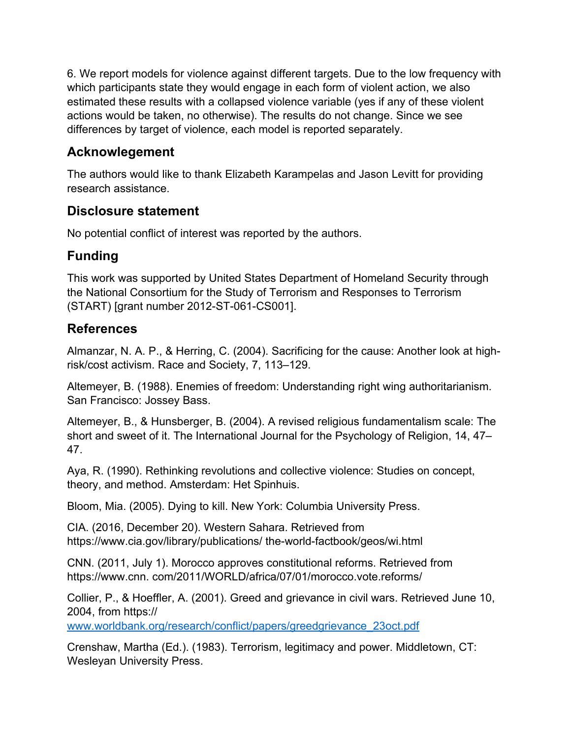6. We report models for violence against different targets. Due to the low frequency with which participants state they would engage in each form of violent action, we also estimated these results with a collapsed violence variable (yes if any of these violent actions would be taken, no otherwise). The results do not change. Since we see differences by target of violence, each model is reported separately.

## **Acknowlegement**

The authors would like to thank Elizabeth Karampelas and Jason Levitt for providing research assistance.

## **Disclosure statement**

No potential conflict of interest was reported by the authors.

## **Funding**

This work was supported by United States Department of Homeland Security through the National Consortium for the Study of Terrorism and Responses to Terrorism (START) [grant number 2012-ST-061-CS001].

## **References**

Almanzar, N. A. P., & Herring, C. (2004). Sacrificing for the cause: Another look at highrisk/cost activism. Race and Society, 7, 113–129.

Altemeyer, B. (1988). Enemies of freedom: Understanding right wing authoritarianism. San Francisco: Jossey Bass.

Altemeyer, B., & Hunsberger, B. (2004). A revised religious fundamentalism scale: The short and sweet of it. The International Journal for the Psychology of Religion, 14, 47– 47.

Aya, R. (1990). Rethinking revolutions and collective violence: Studies on concept, theory, and method. Amsterdam: Het Spinhuis.

Bloom, Mia. (2005). Dying to kill. New York: Columbia University Press.

CIA. (2016, December 20). Western Sahara. Retrieved from https://www.cia.gov/library/publications/ the-world-factbook/geos/wi.html

CNN. (2011, July 1). Morocco approves constitutional reforms. Retrieved from https://www.cnn. com/2011/WORLD/africa/07/01/morocco.vote.reforms/

Collier, P., & Hoeffler, A. (2001). Greed and grievance in civil wars. Retrieved June 10, 2004, from https://

[www.worldbank.org/research/conflict/papers/greedgrievance\\_23oct.pdf](http://www.worldbank.org/research/conflict/papers/greedgrievance_23oct.pdf)

Crenshaw, Martha (Ed.). (1983). Terrorism, legitimacy and power. Middletown, CT: Wesleyan University Press.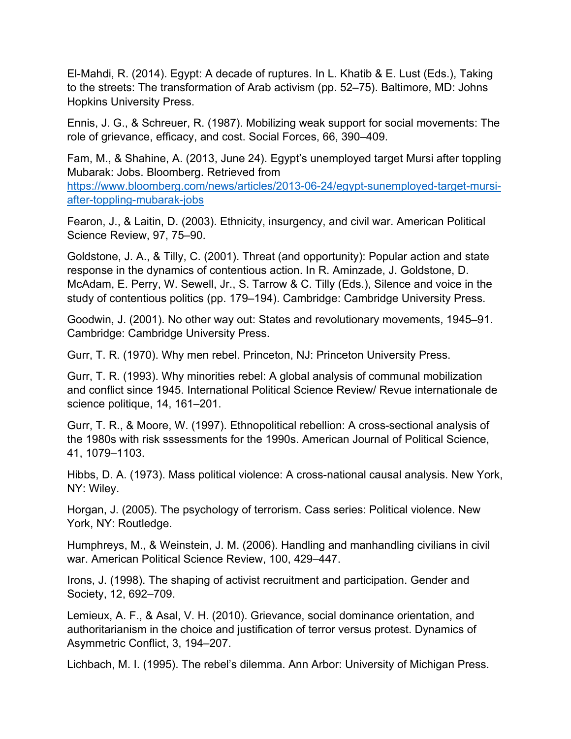El-Mahdi, R. (2014). Egypt: A decade of ruptures. In L. Khatib & E. Lust (Eds.), Taking to the streets: The transformation of Arab activism (pp. 52–75). Baltimore, MD: Johns Hopkins University Press.

Ennis, J. G., & Schreuer, R. (1987). Mobilizing weak support for social movements: The role of grievance, efficacy, and cost. Social Forces, 66, 390–409.

Fam, M., & Shahine, A. (2013, June 24). Egypt's unemployed target Mursi after toppling Mubarak: Jobs. Bloomberg. Retrieved from [https://www.bloomberg.com/news/articles/2013-06-24/egypt-sunemployed-target-mursi](https://www.bloomberg.com/news/articles/2013-06-24/egypt-sunemployed-target-mursi-after-toppling-mubarak-jobs)[after-toppling-mubarak-jobs](https://www.bloomberg.com/news/articles/2013-06-24/egypt-sunemployed-target-mursi-after-toppling-mubarak-jobs)

Fearon, J., & Laitin, D. (2003). Ethnicity, insurgency, and civil war. American Political Science Review, 97, 75–90.

Goldstone, J. A., & Tilly, C. (2001). Threat (and opportunity): Popular action and state response in the dynamics of contentious action. In R. Aminzade, J. Goldstone, D. McAdam, E. Perry, W. Sewell, Jr., S. Tarrow & C. Tilly (Eds.), Silence and voice in the study of contentious politics (pp. 179–194). Cambridge: Cambridge University Press.

Goodwin, J. (2001). No other way out: States and revolutionary movements, 1945–91. Cambridge: Cambridge University Press.

Gurr, T. R. (1970). Why men rebel. Princeton, NJ: Princeton University Press.

Gurr, T. R. (1993). Why minorities rebel: A global analysis of communal mobilization and conflict since 1945. International Political Science Review/ Revue internationale de science politique, 14, 161–201.

Gurr, T. R., & Moore, W. (1997). Ethnopolitical rebellion: A cross-sectional analysis of the 1980s with risk sssessments for the 1990s. American Journal of Political Science, 41, 1079–1103.

Hibbs, D. A. (1973). Mass political violence: A cross-national causal analysis. New York, NY: Wiley.

Horgan, J. (2005). The psychology of terrorism. Cass series: Political violence. New York, NY: Routledge.

Humphreys, M., & Weinstein, J. M. (2006). Handling and manhandling civilians in civil war. American Political Science Review, 100, 429–447.

Irons, J. (1998). The shaping of activist recruitment and participation. Gender and Society, 12, 692–709.

Lemieux, A. F., & Asal, V. H. (2010). Grievance, social dominance orientation, and authoritarianism in the choice and justification of terror versus protest. Dynamics of Asymmetric Conflict, 3, 194–207.

Lichbach, M. I. (1995). The rebel's dilemma. Ann Arbor: University of Michigan Press.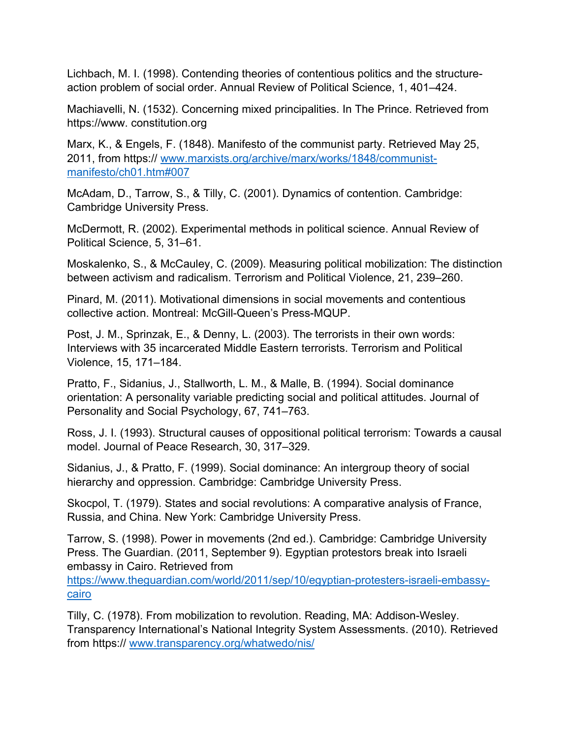Lichbach, M. I. (1998). Contending theories of contentious politics and the structureaction problem of social order. Annual Review of Political Science, 1, 401–424.

Machiavelli, N. (1532). Concerning mixed principalities. In The Prince. Retrieved from https://www. constitution.org

Marx, K., & Engels, F. (1848). Manifesto of the communist party. Retrieved May 25, 2011, from https:// [www.marxists.org/archive/marx/works/1848/communist](http://www.marxists.org/archive/marx/works/1848/communist-manifesto/ch01.htm#007)[manifesto/ch01.htm#007](http://www.marxists.org/archive/marx/works/1848/communist-manifesto/ch01.htm#007)

McAdam, D., Tarrow, S., & Tilly, C. (2001). Dynamics of contention. Cambridge: Cambridge University Press.

McDermott, R. (2002). Experimental methods in political science. Annual Review of Political Science, 5, 31–61.

Moskalenko, S., & McCauley, C. (2009). Measuring political mobilization: The distinction between activism and radicalism. Terrorism and Political Violence, 21, 239–260.

Pinard, M. (2011). Motivational dimensions in social movements and contentious collective action. Montreal: McGill-Queen's Press-MQUP.

Post, J. M., Sprinzak, E., & Denny, L. (2003). The terrorists in their own words: Interviews with 35 incarcerated Middle Eastern terrorists. Terrorism and Political Violence, 15, 171–184.

Pratto, F., Sidanius, J., Stallworth, L. M., & Malle, B. (1994). Social dominance orientation: A personality variable predicting social and political attitudes. Journal of Personality and Social Psychology, 67, 741–763.

Ross, J. I. (1993). Structural causes of oppositional political terrorism: Towards a causal model. Journal of Peace Research, 30, 317–329.

Sidanius, J., & Pratto, F. (1999). Social dominance: An intergroup theory of social hierarchy and oppression. Cambridge: Cambridge University Press.

Skocpol, T. (1979). States and social revolutions: A comparative analysis of France, Russia, and China. New York: Cambridge University Press.

Tarrow, S. (1998). Power in movements (2nd ed.). Cambridge: Cambridge University Press. The Guardian. (2011, September 9). Egyptian protestors break into Israeli embassy in Cairo. Retrieved from

[https://www.theguardian.com/world/2011/sep/10/egyptian-protesters-israeli-embassy](https://www.theguardian.com/world/2011/sep/10/egyptian-protesters-israeli-embassy-cairo)[cairo](https://www.theguardian.com/world/2011/sep/10/egyptian-protesters-israeli-embassy-cairo)

Tilly, C. (1978). From mobilization to revolution. Reading, MA: Addison-Wesley. Transparency International's National Integrity System Assessments. (2010). Retrieved from https:// [www.transparency.org/whatwedo/nis/](http://www.transparency.org/whatwedo/nis/)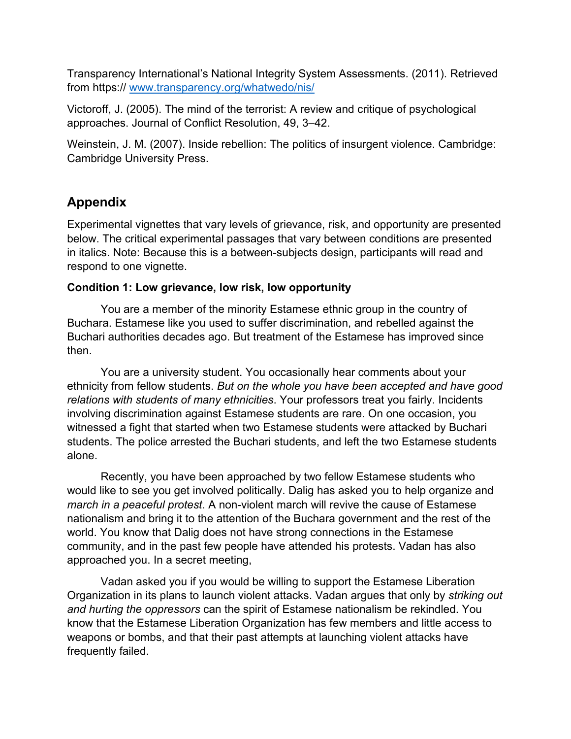Transparency International's National Integrity System Assessments. (2011). Retrieved from https:// [www.transparency.org/whatwedo/nis/](http://www.transparency.org/whatwedo/nis/)

Victoroff, J. (2005). The mind of the terrorist: A review and critique of psychological approaches. Journal of Conflict Resolution, 49, 3–42.

Weinstein, J. M. (2007). Inside rebellion: The politics of insurgent violence. Cambridge: Cambridge University Press.

## **Appendix**

Experimental vignettes that vary levels of grievance, risk, and opportunity are presented below. The critical experimental passages that vary between conditions are presented in italics. Note: Because this is a between-subjects design, participants will read and respond to one vignette.

#### **Condition 1: Low grievance, low risk, low opportunity**

You are a member of the minority Estamese ethnic group in the country of Buchara. Estamese like you used to suffer discrimination, and rebelled against the Buchari authorities decades ago. But treatment of the Estamese has improved since then.

You are a university student. You occasionally hear comments about your ethnicity from fellow students. *But on the whole you have been accepted and have good relations with students of many ethnicities*. Your professors treat you fairly. Incidents involving discrimination against Estamese students are rare. On one occasion, you witnessed a fight that started when two Estamese students were attacked by Buchari students. The police arrested the Buchari students, and left the two Estamese students alone.

Recently, you have been approached by two fellow Estamese students who would like to see you get involved politically. Dalig has asked you to help organize and *march in a peaceful protest*. A non-violent march will revive the cause of Estamese nationalism and bring it to the attention of the Buchara government and the rest of the world. You know that Dalig does not have strong connections in the Estamese community, and in the past few people have attended his protests. Vadan has also approached you. In a secret meeting,

Vadan asked you if you would be willing to support the Estamese Liberation Organization in its plans to launch violent attacks. Vadan argues that only by *striking out and hurting the oppressors* can the spirit of Estamese nationalism be rekindled. You know that the Estamese Liberation Organization has few members and little access to weapons or bombs, and that their past attempts at launching violent attacks have frequently failed.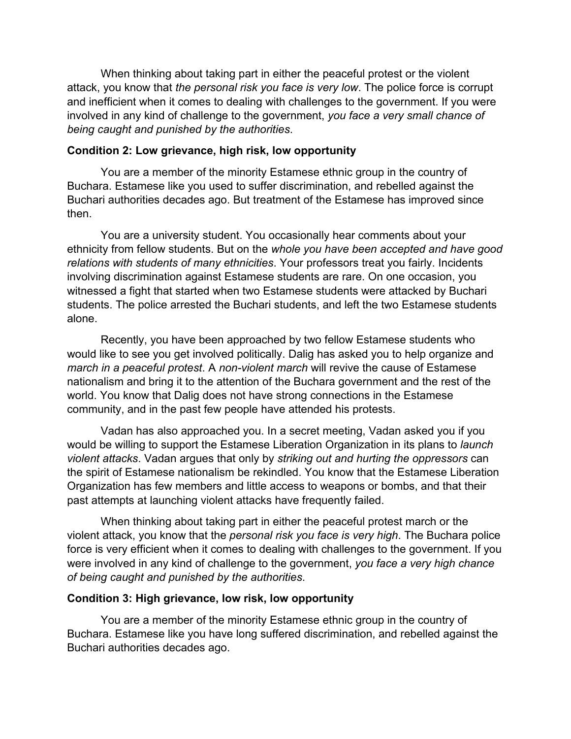When thinking about taking part in either the peaceful protest or the violent attack, you know that *the personal risk you face is very low*. The police force is corrupt and inefficient when it comes to dealing with challenges to the government. If you were involved in any kind of challenge to the government, *you face a very small chance of being caught and punished by the authorities*.

#### **Condition 2: Low grievance, high risk, low opportunity**

You are a member of the minority Estamese ethnic group in the country of Buchara. Estamese like you used to suffer discrimination, and rebelled against the Buchari authorities decades ago. But treatment of the Estamese has improved since then.

You are a university student. You occasionally hear comments about your ethnicity from fellow students. But on the *whole you have been accepted and have good relations with students of many ethnicities*. Your professors treat you fairly. Incidents involving discrimination against Estamese students are rare. On one occasion, you witnessed a fight that started when two Estamese students were attacked by Buchari students. The police arrested the Buchari students, and left the two Estamese students alone.

Recently, you have been approached by two fellow Estamese students who would like to see you get involved politically. Dalig has asked you to help organize and *march in a peaceful protest*. A *non-violent march* will revive the cause of Estamese nationalism and bring it to the attention of the Buchara government and the rest of the world. You know that Dalig does not have strong connections in the Estamese community, and in the past few people have attended his protests.

Vadan has also approached you. In a secret meeting, Vadan asked you if you would be willing to support the Estamese Liberation Organization in its plans to *launch violent attacks*. Vadan argues that only by *striking out and hurting the oppressors* can the spirit of Estamese nationalism be rekindled. You know that the Estamese Liberation Organization has few members and little access to weapons or bombs, and that their past attempts at launching violent attacks have frequently failed.

When thinking about taking part in either the peaceful protest march or the violent attack, you know that the *personal risk you face is very high*. The Buchara police force is very efficient when it comes to dealing with challenges to the government. If you were involved in any kind of challenge to the government, *you face a very high chance of being caught and punished by the authorities*.

#### **Condition 3: High grievance, low risk, low opportunity**

You are a member of the minority Estamese ethnic group in the country of Buchara. Estamese like you have long suffered discrimination, and rebelled against the Buchari authorities decades ago.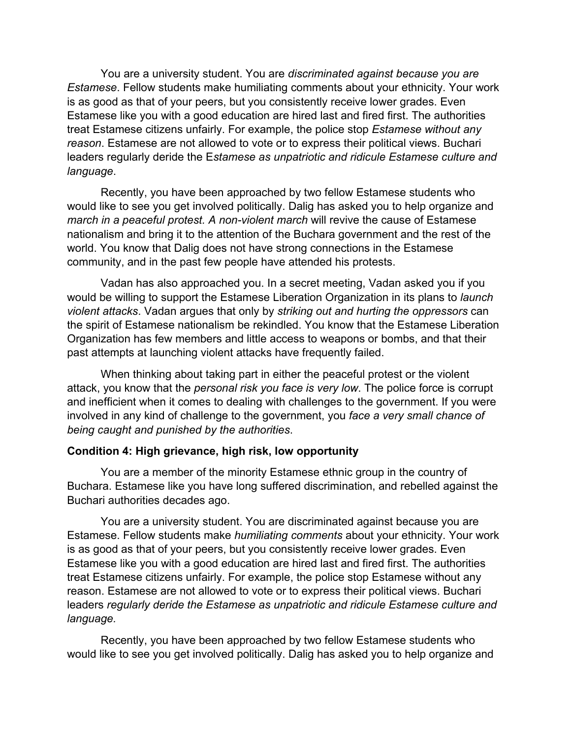You are a university student. You are *discriminated against because you are Estamese*. Fellow students make humiliating comments about your ethnicity. Your work is as good as that of your peers, but you consistently receive lower grades. Even Estamese like you with a good education are hired last and fired first. The authorities treat Estamese citizens unfairly. For example, the police stop *Estamese without any reason*. Estamese are not allowed to vote or to express their political views. Buchari leaders regularly deride the E*stamese as unpatriotic and ridicule Estamese culture and language*.

Recently, you have been approached by two fellow Estamese students who would like to see you get involved politically. Dalig has asked you to help organize and *march in a peaceful protest. A non-violent march* will revive the cause of Estamese nationalism and bring it to the attention of the Buchara government and the rest of the world. You know that Dalig does not have strong connections in the Estamese community, and in the past few people have attended his protests.

Vadan has also approached you. In a secret meeting, Vadan asked you if you would be willing to support the Estamese Liberation Organization in its plans to *launch violent attacks*. Vadan argues that only by *striking out and hurting the oppressors* can the spirit of Estamese nationalism be rekindled. You know that the Estamese Liberation Organization has few members and little access to weapons or bombs, and that their past attempts at launching violent attacks have frequently failed.

When thinking about taking part in either the peaceful protest or the violent attack, you know that the *personal risk you face is very low*. The police force is corrupt and inefficient when it comes to dealing with challenges to the government. If you were involved in any kind of challenge to the government, you *face a very small chance of being caught and punished by the authorities*.

#### **Condition 4: High grievance, high risk, low opportunity**

You are a member of the minority Estamese ethnic group in the country of Buchara. Estamese like you have long suffered discrimination, and rebelled against the Buchari authorities decades ago.

You are a university student. You are discriminated against because you are Estamese. Fellow students make *humiliating comments* about your ethnicity. Your work is as good as that of your peers, but you consistently receive lower grades. Even Estamese like you with a good education are hired last and fired first. The authorities treat Estamese citizens unfairly. For example, the police stop Estamese without any reason. Estamese are not allowed to vote or to express their political views. Buchari leaders *regularly deride the Estamese as unpatriotic and ridicule Estamese culture and language.*

Recently, you have been approached by two fellow Estamese students who would like to see you get involved politically. Dalig has asked you to help organize and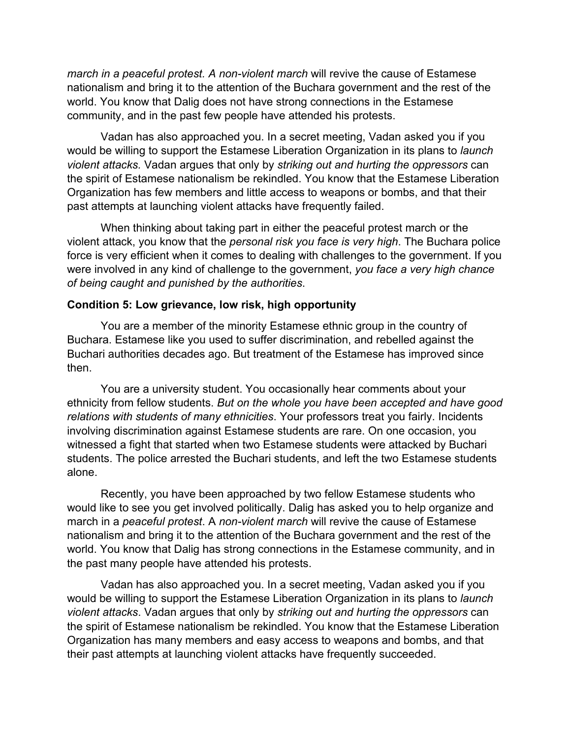*march in a peaceful protest. A non-violent march* will revive the cause of Estamese nationalism and bring it to the attention of the Buchara government and the rest of the world. You know that Dalig does not have strong connections in the Estamese community, and in the past few people have attended his protests.

Vadan has also approached you. In a secret meeting, Vadan asked you if you would be willing to support the Estamese Liberation Organization in its plans to *launch violent attacks.* Vadan argues that only by *striking out and hurting the oppressors* can the spirit of Estamese nationalism be rekindled. You know that the Estamese Liberation Organization has few members and little access to weapons or bombs, and that their past attempts at launching violent attacks have frequently failed.

When thinking about taking part in either the peaceful protest march or the violent attack, you know that the *personal risk you face is very high*. The Buchara police force is very efficient when it comes to dealing with challenges to the government. If you were involved in any kind of challenge to the government, *you face a very high chance of being caught and punished by the authorities*.

#### **Condition 5: Low grievance, low risk, high opportunity**

You are a member of the minority Estamese ethnic group in the country of Buchara. Estamese like you used to suffer discrimination, and rebelled against the Buchari authorities decades ago. But treatment of the Estamese has improved since then.

You are a university student. You occasionally hear comments about your ethnicity from fellow students. *But on the whole you have been accepted and have good relations with students of many ethnicities*. Your professors treat you fairly. Incidents involving discrimination against Estamese students are rare. On one occasion, you witnessed a fight that started when two Estamese students were attacked by Buchari students. The police arrested the Buchari students, and left the two Estamese students alone.

Recently, you have been approached by two fellow Estamese students who would like to see you get involved politically. Dalig has asked you to help organize and march in a *peaceful protest*. A *non-violent march* will revive the cause of Estamese nationalism and bring it to the attention of the Buchara government and the rest of the world. You know that Dalig has strong connections in the Estamese community, and in the past many people have attended his protests.

Vadan has also approached you. In a secret meeting, Vadan asked you if you would be willing to support the Estamese Liberation Organization in its plans to *launch violent attacks*. Vadan argues that only by *striking out and hurting the oppressors* can the spirit of Estamese nationalism be rekindled. You know that the Estamese Liberation Organization has many members and easy access to weapons and bombs, and that their past attempts at launching violent attacks have frequently succeeded.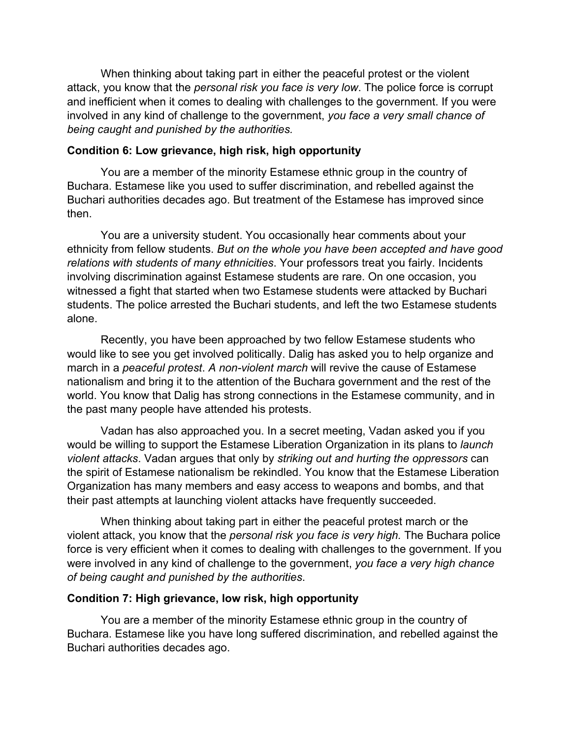When thinking about taking part in either the peaceful protest or the violent attack, you know that the *personal risk you face is very low*. The police force is corrupt and inefficient when it comes to dealing with challenges to the government. If you were involved in any kind of challenge to the government, *you face a very small chance of being caught and punished by the authorities.*

#### **Condition 6: Low grievance, high risk, high opportunity**

You are a member of the minority Estamese ethnic group in the country of Buchara. Estamese like you used to suffer discrimination, and rebelled against the Buchari authorities decades ago. But treatment of the Estamese has improved since then.

You are a university student. You occasionally hear comments about your ethnicity from fellow students. *But on the whole you have been accepted and have good relations with students of many ethnicities*. Your professors treat you fairly. Incidents involving discrimination against Estamese students are rare. On one occasion, you witnessed a fight that started when two Estamese students were attacked by Buchari students. The police arrested the Buchari students, and left the two Estamese students alone.

Recently, you have been approached by two fellow Estamese students who would like to see you get involved politically. Dalig has asked you to help organize and march in a *peaceful protest*. *A non-violent march* will revive the cause of Estamese nationalism and bring it to the attention of the Buchara government and the rest of the world. You know that Dalig has strong connections in the Estamese community, and in the past many people have attended his protests.

Vadan has also approached you. In a secret meeting, Vadan asked you if you would be willing to support the Estamese Liberation Organization in its plans to *launch violent attacks*. Vadan argues that only by *striking out and hurting the oppressors* can the spirit of Estamese nationalism be rekindled. You know that the Estamese Liberation Organization has many members and easy access to weapons and bombs, and that their past attempts at launching violent attacks have frequently succeeded.

When thinking about taking part in either the peaceful protest march or the violent attack, you know that the *personal risk you face is very high.* The Buchara police force is very efficient when it comes to dealing with challenges to the government. If you were involved in any kind of challenge to the government, *you face a very high chance of being caught and punished by the authorities*.

#### **Condition 7: High grievance, low risk, high opportunity**

You are a member of the minority Estamese ethnic group in the country of Buchara. Estamese like you have long suffered discrimination, and rebelled against the Buchari authorities decades ago.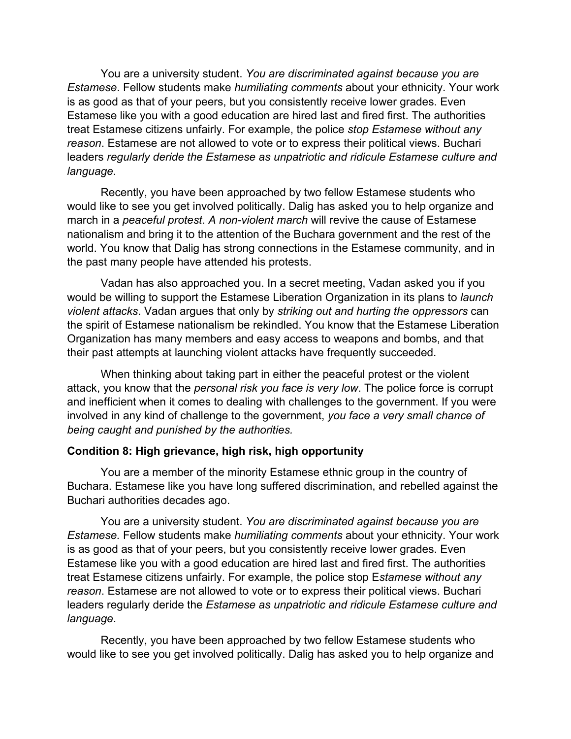You are a university student. *You are discriminated against because you are Estamese*. Fellow students make *humiliating comments* about your ethnicity. Your work is as good as that of your peers, but you consistently receive lower grades. Even Estamese like you with a good education are hired last and fired first. The authorities treat Estamese citizens unfairly. For example, the police *stop Estamese without any reason*. Estamese are not allowed to vote or to express their political views. Buchari leaders *regularly deride the Estamese as unpatriotic and ridicule Estamese culture and language.* 

Recently, you have been approached by two fellow Estamese students who would like to see you get involved politically. Dalig has asked you to help organize and march in a *peaceful protest*. *A non-violent march* will revive the cause of Estamese nationalism and bring it to the attention of the Buchara government and the rest of the world. You know that Dalig has strong connections in the Estamese community, and in the past many people have attended his protests.

Vadan has also approached you. In a secret meeting, Vadan asked you if you would be willing to support the Estamese Liberation Organization in its plans to *launch violent attacks*. Vadan argues that only by *striking out and hurting the oppressors* can the spirit of Estamese nationalism be rekindled. You know that the Estamese Liberation Organization has many members and easy access to weapons and bombs, and that their past attempts at launching violent attacks have frequently succeeded.

When thinking about taking part in either the peaceful protest or the violent attack, you know that the *personal risk you face is very low*. The police force is corrupt and inefficient when it comes to dealing with challenges to the government. If you were involved in any kind of challenge to the government, *you face a very small chance of being caught and punished by the authorities.*

#### **Condition 8: High grievance, high risk, high opportunity**

You are a member of the minority Estamese ethnic group in the country of Buchara. Estamese like you have long suffered discrimination, and rebelled against the Buchari authorities decades ago.

You are a university student. *You are discriminated against because you are Estamese.* Fellow students make *humiliating comments* about your ethnicity. Your work is as good as that of your peers, but you consistently receive lower grades. Even Estamese like you with a good education are hired last and fired first. The authorities treat Estamese citizens unfairly. For example, the police stop E*stamese without any reason*. Estamese are not allowed to vote or to express their political views. Buchari leaders regularly deride the *Estamese as unpatriotic and ridicule Estamese culture and language*.

Recently, you have been approached by two fellow Estamese students who would like to see you get involved politically. Dalig has asked you to help organize and